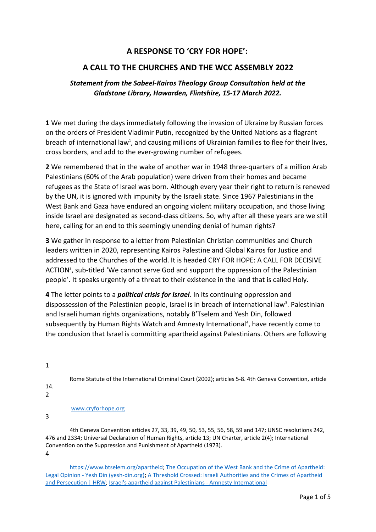## **A RESPONSE TO 'CRY FOR HOPE':**

## **A CALL TO THE CHURCHES AND THE WCC ASSEMBLY 2022**

## *Statement from the Sabeel-Kairos Theology Group Consultation held at the Gladstone Library, Hawarden, Flintshire, 15-17 March 2022.*

**1** We met during the days immediately following the invasion of Ukraine by Russian forces on the orders of President Vladimir Putin, recognized by the United Nations as a flagrant breach of international law<sup>[1](#page-0-0)</sup>, and causing millions of Ukrainian families to flee for their lives, cross borders, and add to the ever-growing number of refugees.

**2** We remembered that in the wake of another war in 1948 three-quarters of a million Arab Palestinians (60% of the Arab population) were driven from their homes and became refugees as the State of Israel was born. Although every year their right to return is renewed by the UN, it is ignored with impunity by the Israeli state. Since 1967 Palestinians in the West Bank and Gaza have endured an ongoing violent military occupation, and those living inside Israel are designated as second-class citizens. So, why after all these years are we still here, calling for an end to this seemingly unending denial of human rights?

**3** We gather in response to a letter from Palestinian Christian communities and Church leaders written in 2020, representing Kairos Palestine and Global Kairos for Justice and addressed to the Churches of the world. It is headed CRY FOR HOPE: A CALL FOR DECISIVE ACTION<sup>[2](#page-0-1)</sup>, sub-titled 'We cannot serve God and support the oppression of the Palestinian people'. It speaks urgently of a threat to their existence in the land that is called Holy.

**4** The letter points to a *political crisis for Israel*. In its continuing oppression and dispossession of the Palestinian people, Israel is in breach of international law<sup>[3](#page-0-2)</sup>. Palestinian and Israeli human rights organizations, notably B'Tselem and Yesh Din, followed subsequently by Human Rights Watch and Amnesty International<sup>[4](#page-0-3)</sup>, have recently come to the conclusion that Israel is committing apartheid against Palestinians. Others are following

<span id="page-0-0"></span>1

Rome Statute of the International Criminal Court (2002); articles 5-8. 4th Geneva Convention, article

<span id="page-0-1"></span>14. 2

[www.cryforhope.org](http://www.cryforhope.org/)

<span id="page-0-2"></span>3

 4th Geneva Convention articles 27, 33, 39, 49, 50, 53, 55, 56, 58, 59 and 147; UNSC resolutions 242, 476 and 2334; Universal Declaration of Human Rights, article 13; UN Charter, article 2(4); International Convention on the Suppression and Punishment of Apartheid (1973). 4

<span id="page-0-3"></span>[https://www.btselem.org/apartheid;](https://www.btselem.org/apartheid) [The Occupation of the West Bank and the Crime of Apartheid:](https://www.yesh-din.org/en/the-occupation-of-the-west-bank-and-the-crime-of-apartheid-legal-opinion/)  [Legal Opinion - Yesh Din \(yesh-din.org\);](https://www.yesh-din.org/en/the-occupation-of-the-west-bank-and-the-crime-of-apartheid-legal-opinion/) [A Threshold Crossed: Israeli Authorities and the Crimes of Apartheid](https://www.hrw.org/report/2021/04/27/threshold-crossed/israeli-authorities-and-crimes-apartheid-and-persecution)  [and Persecution | HRW;](https://www.hrw.org/report/2021/04/27/threshold-crossed/israeli-authorities-and-crimes-apartheid-and-persecution) [Israel's apartheid against Palestinians - Amnesty International](https://www.amnesty.org/en/latest/campaigns/2022/02/israels-system-of-apartheid/)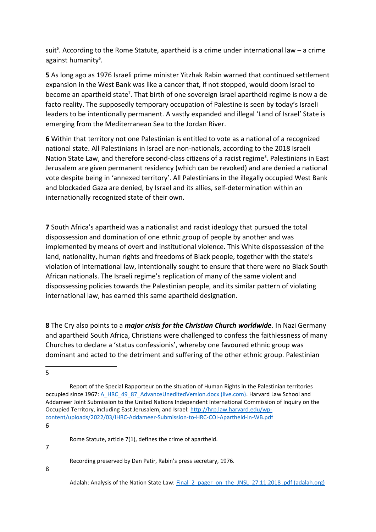suit<sup>[5](#page-1-0)</sup>. According to the Rome Statute, apartheid is a crime under international law  $-$  a crime against humanity<sup>[6](#page-1-1)</sup>.

**5** As long ago as 1976 Israeli prime minister Yitzhak Rabin warned that continued settlement expansion in the West Bank was like a cancer that, if not stopped, would doom Israel to become an apartheid state<sup>[7](#page-1-2)</sup>. That birth of one sovereign Israel apartheid regime is now a de facto reality. The supposedly temporary occupation of Palestine is seen by today's Israeli leaders to be intentionally permanent. A vastly expanded and illegal 'Land of Israel' State is emerging from the Mediterranean Sea to the Jordan River.

**6** Within that territory not one Palestinian is entitled to vote as a national of a recognized national state. All Palestinians in Israel are non-nationals, according to the 2018 Israeli Nation State Law, and therefore second-class citizens of a racist regime<sup>[8](#page-1-3)</sup>. Palestinians in East Jerusalem are given permanent residency (which can be revoked) and are denied a national vote despite being in 'annexed territory'. All Palestinians in the illegally occupied West Bank and blockaded Gaza are denied, by Israel and its allies, self-determination within an internationally recognized state of their own.

**7** South Africa's apartheid was a nationalist and racist ideology that pursued the total dispossession and domination of one ethnic group of people by another and was implemented by means of overt and institutional violence. This White dispossession of the land, nationality, human rights and freedoms of Black people, together with the state's violation of international law, intentionally sought to ensure that there were no Black South African nationals. The Israeli regime's replication of many of the same violent and dispossessing policies towards the Palestinian people, and its similar pattern of violating international law, has earned this same apartheid designation.

**8** The Cry also points to a *major crisis for the Christian Church worldwide*. In Nazi Germany and apartheid South Africa, Christians were challenged to confess the faithlessness of many Churches to declare a 'status confessionis', whereby one favoured ethnic group was dominant and acted to the detriment and suffering of the other ethnic group. Palestinian

<span id="page-1-0"></span>5

<span id="page-1-1"></span>6

Rome Statute, article 7(1), defines the crime of apartheid.

<span id="page-1-2"></span>7

Recording preserved by Dan Patir, Rabin's press secretary, 1976.

<span id="page-1-3"></span>8

Report of the Special Rapporteur on the situation of Human Rights in the Palestinian territories occupied since 1967: [A\\_HRC\\_49\\_87\\_AdvanceUneditedVersion.docx \(live.com\).](https://view.officeapps.live.com/op/view.aspx?src=https%3A%2F%2Fwww.ohchr.org%2Fsites%2Fdefault%2Ffiles%2F2022-03%2FA_HRC_49_87_AdvanceUneditedVersion.docx&wdOrigin=BROWSELINK) Harvard Law School and Addameer Joint Submission to the United Nations Independent International Commission of Inquiry on the Occupied Territory, including East Jerusalem, and Israel: [http://hrp.law.harvard.edu/wp](http://hrp.law.harvard.edu/wp-content/uploads/2022/03/IHRC-Addameer-Submission-to-HRC-COI-Apartheid-in-WB.pdf)[content/uploads/2022/03/IHRC-Addameer-Submission-to-HRC-COI-Apartheid-in-WB.pdf](http://hrp.law.harvard.edu/wp-content/uploads/2022/03/IHRC-Addameer-Submission-to-HRC-COI-Apartheid-in-WB.pdf)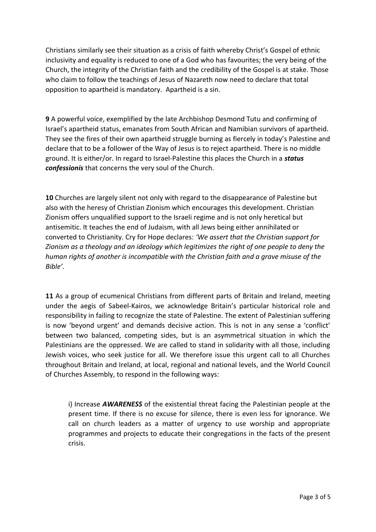Christians similarly see their situation as a crisis of faith whereby Christ's Gospel of ethnic inclusivity and equality is reduced to one of a God who has favourites; the very being of the Church, the integrity of the Christian faith and the credibility of the Gospel is at stake. Those who claim to follow the teachings of Jesus of Nazareth now need to declare that total opposition to apartheid is mandatory. Apartheid is a sin.

**9** A powerful voice, exemplified by the late Archbishop Desmond Tutu and confirming of Israel's apartheid status, emanates from South African and Namibian survivors of apartheid. They see the fires of their own apartheid struggle burning as fiercely in today's Palestine and declare that to be a follower of the Way of Jesus is to reject apartheid. There is no middle ground. It is either/or. In regard to Israel-Palestine this places the Church in a *status confessionis* that concerns the very soul of the Church.

**10** Churches are largely silent not only with regard to the disappearance of Palestine but also with the heresy of Christian Zionism which encourages this development. Christian Zionism offers unqualified support to the Israeli regime and is not only heretical but antisemitic. It teaches the end of Judaism, with all Jews being either annihilated or converted to Christianity. Cry for Hope declares: *'We assert that the Christian support for Zionism as a theology and an ideology which legitimizes the right of one people to deny the human rights of another is incompatible with the Christian faith and a grave misuse of the Bible'.*

**11** As a group of ecumenical Christians from different parts of Britain and Ireland, meeting under the aegis of Sabeel-Kairos, we acknowledge Britain's particular historical role and responsibility in failing to recognize the state of Palestine. The extent of Palestinian suffering is now 'beyond urgent' and demands decisive action. This is not in any sense a 'conflict' between two balanced, competing sides, but is an asymmetrical situation in which the Palestinians are the oppressed. We are called to stand in solidarity with all those, including Jewish voices, who seek justice for all. We therefore issue this urgent call to all Churches throughout Britain and Ireland, at local, regional and national levels, and the World Council of Churches Assembly, to respond in the following ways:

i) Increase *AWARENESS* of the existential threat facing the Palestinian people at the present time. If there is no excuse for silence, there is even less for ignorance. We call on church leaders as a matter of urgency to use worship and appropriate programmes and projects to educate their congregations in the facts of the present crisis.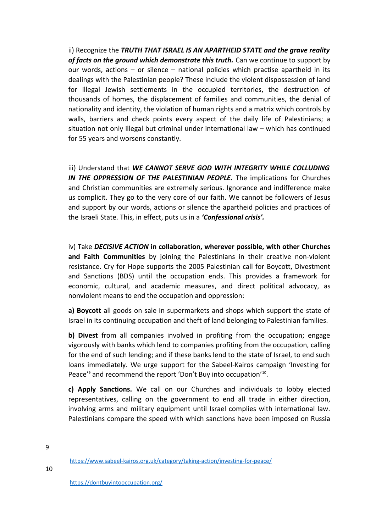ii) Recognize the *TRUTH THAT ISRAEL IS AN APARTHEID STATE and the grave reality of facts on the ground which demonstrate this truth.* Can we continue to support by our words, actions – or silence – national policies which practise apartheid in its dealings with the Palestinian people? These include the violent dispossession of land for illegal Jewish settlements in the occupied territories, the destruction of thousands of homes, the displacement of families and communities, the denial of nationality and identity, the violation of human rights and a matrix which controls by walls, barriers and check points every aspect of the daily life of Palestinians; a situation not only illegal but criminal under international law – which has continued for 55 years and worsens constantly.

iii) Understand that *WE CANNOT SERVE GOD WITH INTEGRITY WHILE COLLUDING* **IN THE OPPRESSION OF THE PALESTINIAN PEOPLE.** The implications for Churches and Christian communities are extremely serious. Ignorance and indifference make us complicit. They go to the very core of our faith. We cannot be followers of Jesus and support by our words, actions or silence the apartheid policies and practices of the Israeli State. This, in effect, puts us in a *'Confessional crisis'.*

iv) Take *DECISIVE ACTION* **in collaboration, wherever possible, with other Churches and Faith Communities** by joining the Palestinians in their creative non-violent resistance. Cry for Hope supports the 2005 Palestinian call for Boycott, Divestment and Sanctions (BDS) until the occupation ends. This provides a framework for economic, cultural, and academic measures, and direct political advocacy, as nonviolent means to end the occupation and oppression:

**a) Boycott** all goods on sale in supermarkets and shops which support the state of Israel in its continuing occupation and theft of land belonging to Palestinian families.

**b) Divest** from all companies involved in profiting from the occupation; engage vigorously with banks which lend to companies profiting from the occupation, calling for the end of such lending; and if these banks lend to the state of Israel, to end such loans immediately. We urge support for the Sabeel-Kairos campaign 'Investing for Peace'<sup>[9](#page-3-0)</sup> and recommend the report 'Don't Buy into occupation'<sup>[10](#page-3-1)</sup>.

**c) Apply Sanctions.** We call on our Churches and individuals to lobby elected representatives, calling on the government to end all trade in either direction, involving arms and military equipment until Israel complies with international law. Palestinians compare the speed with which sanctions have been imposed on Russia

<span id="page-3-0"></span>9

<span id="page-3-1"></span><https://www.sabeel-kairos.org.uk/category/taking-action/investing-for-peace/>